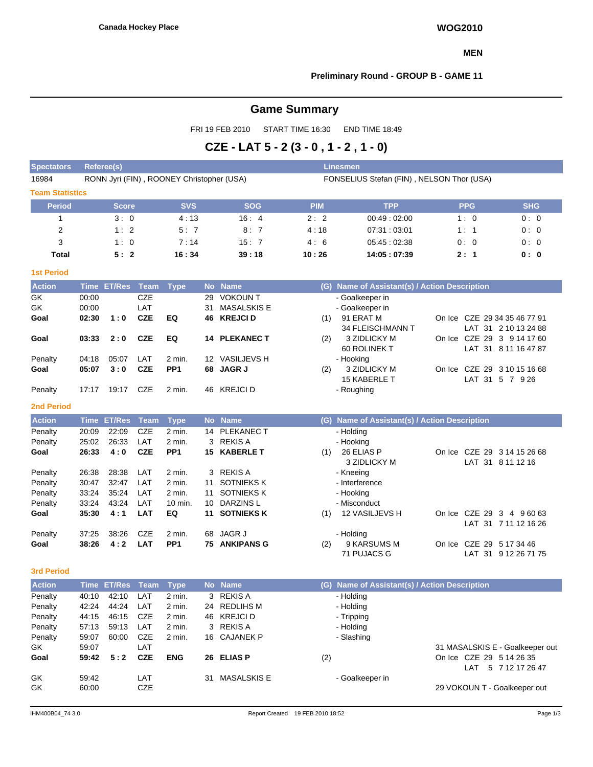#### **MEN**

# **Preliminary Round - GROUP B - GAME 11**

# **Game Summary**

FRI 19 FEB 2010 START TIME 16:30 END TIME 18:49

# **CZE - LAT 5 - 2 (3 - 0 , 1 - 2 , 1 - 0)**

| <b>Spectators</b>      | <b>Referee(s)</b><br><b>Linesmen</b> |                    |                   |                                           |    |                             |                                           |                                               |  |            |                                                   |  |  |  |  |  |
|------------------------|--------------------------------------|--------------------|-------------------|-------------------------------------------|----|-----------------------------|-------------------------------------------|-----------------------------------------------|--|------------|---------------------------------------------------|--|--|--|--|--|
| 16984                  |                                      |                    |                   | RONN Jyri (FIN), ROONEY Christopher (USA) |    |                             | FONSELIUS Stefan (FIN), NELSON Thor (USA) |                                               |  |            |                                                   |  |  |  |  |  |
| <b>Team Statistics</b> |                                      |                    |                   |                                           |    |                             |                                           |                                               |  |            |                                                   |  |  |  |  |  |
| <b>Period</b>          |                                      | <b>Score</b>       |                   | <b>SVS</b>                                |    | <b>SOG</b>                  | <b>PIM</b>                                | <b>TPP</b>                                    |  | <b>PPG</b> | <b>SHG</b>                                        |  |  |  |  |  |
| $\mathbf{1}$           |                                      | 3:0                |                   | 4:13                                      |    | 16:4                        | 2:2                                       | 00:49:02:00                                   |  | 1:0        | 0:0                                               |  |  |  |  |  |
| 2                      |                                      | 1:2                |                   | 5:7                                       |    | 8:7                         | 4:18                                      | 07:31:03:01                                   |  | 1:1        | 0:0                                               |  |  |  |  |  |
| 3                      |                                      | 1:0                |                   | 7:14                                      |    | 15:7                        | 4:6                                       | 05:45:02:38                                   |  | 0:0        | 0:0                                               |  |  |  |  |  |
| Total                  |                                      | 5:2                |                   | 16:34                                     |    | 39:18                       | 10:26                                     | 14:05:07:39                                   |  | 2:1        | 0: 0                                              |  |  |  |  |  |
| <b>1st Period</b>      |                                      |                    |                   |                                           |    |                             |                                           |                                               |  |            |                                                   |  |  |  |  |  |
| <b>Action</b>          |                                      | Time ET/Res        | Team              | <b>Type</b>                               |    | No Name                     |                                           | (G) Name of Assistant(s) / Action Description |  |            |                                                   |  |  |  |  |  |
| GK                     | 00:00                                |                    | <b>CZE</b>        |                                           | 29 | <b>VOKOUN T</b>             |                                           | - Goalkeeper in                               |  |            |                                                   |  |  |  |  |  |
| GK                     | 00:00                                |                    | LAT               |                                           | 31 | <b>MASALSKIS E</b>          |                                           | - Goalkeeper in                               |  |            |                                                   |  |  |  |  |  |
| Goal                   | 02:30                                | 1:0                | <b>CZE</b>        | EQ                                        |    | <b>46 KREJCID</b>           | (1)                                       | 91 ERAT M                                     |  |            | On Ice CZE 29 34 35 46 77 91                      |  |  |  |  |  |
|                        |                                      |                    |                   |                                           |    |                             |                                           | 34 FLEISCHMANN T                              |  |            | LAT 31 2 10 13 24 88                              |  |  |  |  |  |
| Goal                   | 03:33                                | 2:0                | <b>CZE</b>        | EQ                                        |    | <b>14 PLEKANEC T</b>        | (2)                                       | 3 ZIDLICKY M                                  |  |            | On Ice CZE 29 3 9 14 17 60                        |  |  |  |  |  |
|                        |                                      |                    |                   |                                           |    |                             |                                           | 60 ROLINEK T                                  |  |            | LAT 31 8 11 16 47 87                              |  |  |  |  |  |
| Penalty                | 04:18<br>05:07                       | 05:07<br>3:0       | LAT<br><b>CZE</b> | 2 min.<br>PP <sub>1</sub>                 |    | 12 VASILJEVS H<br>68 JAGR J |                                           | - Hooking<br>3 ZIDLICKY M                     |  |            | On Ice CZE 29 3 10 15 16 68                       |  |  |  |  |  |
| Goal                   |                                      |                    |                   |                                           |    |                             | (2)                                       | 15 KABERLE T                                  |  |            | LAT 31 5 7 9 26                                   |  |  |  |  |  |
| Penalty                | 17:17                                | 19:17              | CZE               | 2 min.                                    |    | 46 KREJCI D                 |                                           | - Roughing                                    |  |            |                                                   |  |  |  |  |  |
| <b>2nd Period</b>      |                                      |                    |                   |                                           |    |                             |                                           |                                               |  |            |                                                   |  |  |  |  |  |
| <b>Action</b>          |                                      | <b>Time ET/Res</b> | Team              | <b>Type</b>                               |    | No Name                     |                                           | (G) Name of Assistant(s) / Action Description |  |            |                                                   |  |  |  |  |  |
| Penalty                | 20:09                                | 22:09              | <b>CZE</b>        | 2 min.                                    |    | 14 PLEKANEC T               |                                           | - Holding                                     |  |            |                                                   |  |  |  |  |  |
| Penalty                | 25:02                                | 26:33              | LAT               | 2 min.                                    |    | 3 REKIS A                   |                                           | - Hooking                                     |  |            |                                                   |  |  |  |  |  |
| Goal                   | 26:33                                | 4:0                | <b>CZE</b>        | PP <sub>1</sub>                           |    | 15 KABERLE T                | (1)                                       | 26 ELIAS P                                    |  |            | On Ice CZE 29 3 14 15 26 68                       |  |  |  |  |  |
|                        |                                      |                    |                   |                                           |    |                             |                                           | 3 ZIDLICKY M                                  |  |            | LAT 31 8 11 12 16                                 |  |  |  |  |  |
| Penalty                | 26:38                                | 28:38              | LAT               | 2 min.                                    |    | 3 REKIS A                   |                                           | - Kneeing                                     |  |            |                                                   |  |  |  |  |  |
| Penalty                | 30:47                                | 32:47              | LAT               | 2 min.                                    | 11 | <b>SOTNIEKS K</b>           |                                           | - Interference                                |  |            |                                                   |  |  |  |  |  |
| Penalty                | 33:24                                | 35:24              | LAT               | 2 min.                                    | 11 | <b>SOTNIEKS K</b>           |                                           | - Hooking                                     |  |            |                                                   |  |  |  |  |  |
| Penalty                | 33:24                                | 43:24              | LAT               | 10 min.                                   | 10 | <b>DARZINSL</b>             |                                           | - Misconduct                                  |  |            |                                                   |  |  |  |  |  |
| Goal                   | 35:30                                | 4:1                | <b>LAT</b>        | EQ                                        | 11 | <b>SOTNIEKS K</b>           | (1)                                       | 12 VASILJEVS H                                |  |            | On Ice CZE 29 3 4 9 60 63<br>LAT 31 7 11 12 16 26 |  |  |  |  |  |
| Penalty                | 37:25                                | 38:26              | <b>CZE</b>        | 2 min.                                    | 68 | <b>JAGR J</b>               |                                           | - Holding                                     |  |            |                                                   |  |  |  |  |  |
| Goal                   | 38:26                                | 4:2                | <b>LAT</b>        | PP <sub>1</sub>                           |    | <b>75 ANKIPANS G</b>        | (2)                                       | 9 KARSUMS M                                   |  |            | On Ice CZE 29 5 17 34 46                          |  |  |  |  |  |
|                        |                                      |                    |                   |                                           |    |                             |                                           | 71 PUJACS G                                   |  |            | LAT 31 9 12 26 71 75                              |  |  |  |  |  |
| <b>3rd Period</b>      |                                      |                    |                   |                                           |    |                             |                                           |                                               |  |            |                                                   |  |  |  |  |  |
| <b>Action</b>          |                                      | Time ET/Res Team   |                   | <b>Type</b>                               |    | No Name                     |                                           | (G) Name of Assistant(s) / Action Description |  |            |                                                   |  |  |  |  |  |
| Penalty                |                                      | 40:10  42:10  LAT  |                   | 2 min.                                    |    | 3 REKIS A                   |                                           | Holding                                       |  |            |                                                   |  |  |  |  |  |
| Penalty                | 42:24                                | 44:24              | LAT               | 2 min.                                    |    | 24 REDLIHS M                |                                           | - Holding                                     |  |            |                                                   |  |  |  |  |  |
| Penalty                | 44:15                                | 46:15              | CZE               | 2 min.                                    |    | 46 KREJCI D                 |                                           | - Tripping                                    |  |            |                                                   |  |  |  |  |  |
| Penalty                | 57:13                                | 59:13              | LAT               | 2 min.                                    |    | 3 REKIS A                   |                                           | - Holding                                     |  |            |                                                   |  |  |  |  |  |
| Penalty                | 59:07                                | 60:00              | CZE               | 2 min.                                    |    | 16 CAJANEK P                |                                           | - Slashing                                    |  |            |                                                   |  |  |  |  |  |
| GK                     | 59:07                                |                    | LAT               |                                           |    |                             |                                           |                                               |  |            | 31 MASALSKIS E - Goalkeeper out                   |  |  |  |  |  |
| Goal                   | 59:42                                | 5:2                | <b>CZE</b>        | <b>ENG</b>                                |    | 26 ELIAS P                  | (2)                                       |                                               |  |            | On Ice CZE 29 5 14 26 35<br>LAT 5 7 12 17 26 47   |  |  |  |  |  |
| GK                     | 59:42                                |                    | LAT               |                                           |    | 31 MASALSKIS E              |                                           | - Goalkeeper in                               |  |            |                                                   |  |  |  |  |  |
| GK                     | 60:00                                |                    | CZE               |                                           |    |                             |                                           |                                               |  |            | 29 VOKOUN T - Goalkeeper out                      |  |  |  |  |  |
|                        |                                      |                    |                   |                                           |    |                             |                                           |                                               |  |            |                                                   |  |  |  |  |  |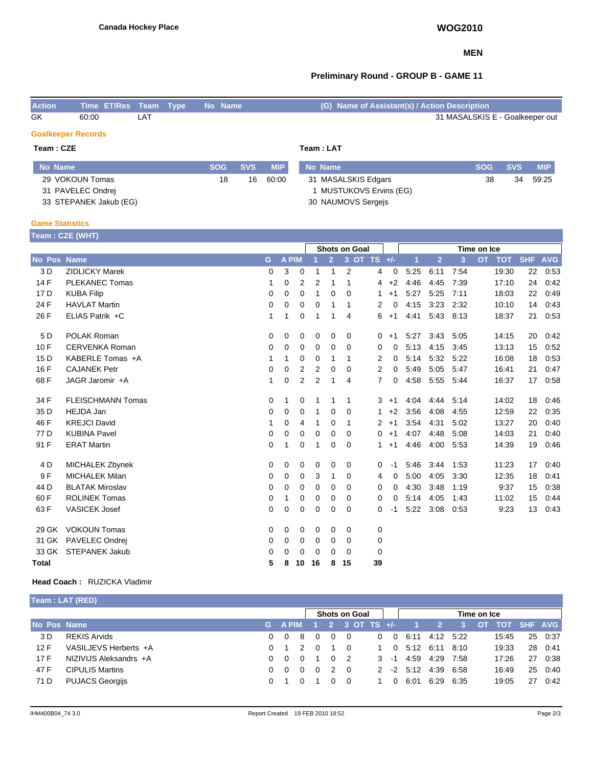### **MEN**

# **Preliminary Round - GROUP B - GAME 11**

| <b>Action</b> | Time ET/Res Team Type No Name |     |  | (G) Name of Assistant(s) / Action Description |
|---------------|-------------------------------|-----|--|-----------------------------------------------|
| GK            | 60:00                         | LAT |  | 31 MASALSKIS E - Goalkeeper out               |

#### **Goalkeeper Records**

| Team : CZE        |       |            | Team : LAT |                       |            |            |            |  |  |  |  |  |
|-------------------|-------|------------|------------|-----------------------|------------|------------|------------|--|--|--|--|--|
| No Name           | SOG 4 | <b>SVS</b> | <b>MIP</b> | No Name               | <b>SOG</b> | <b>SVS</b> | <b>MIP</b> |  |  |  |  |  |
| 29 VOKOUN Tomas   | 18    | 16         | 60:00      | 31 MASALSKIS Edgars   | 38         | 34         | 59:25      |  |  |  |  |  |
| 31 PAVELEC Ondrei |       |            |            | MUSTUKOVS Ervins (EG) |            |            |            |  |  |  |  |  |

30 NAUMOVS Sergejs

#### **Game Statistics**

33 STEPANEK Jakub (EG)

|                    | Team : CZE (WHT)         |   |              |    |          |                |                |                 |             |      |                |      |                         |            |            |
|--------------------|--------------------------|---|--------------|----|----------|----------------|----------------|-----------------|-------------|------|----------------|------|-------------------------|------------|------------|
|                    |                          |   |              |    |          |                | Shots on Goal  |                 | Time on Ice |      |                |      |                         |            |            |
| <b>No Pos Name</b> |                          | G | <b>A PIM</b> |    |          | $\overline{2}$ |                | $3$ OT TS $+/-$ |             | 1    | $\overline{2}$ | 3    | <b>OT</b><br><b>TOT</b> | <b>SHF</b> | <b>AVG</b> |
| 3 D                | <b>ZIDLICKY Marek</b>    | 0 | 3            | 0  | 1        | 1              | 2              | 4               | 0           | 5:25 | 6:11           | 7:54 | 19:30                   | 22         | 0.53       |
| 14 F               | <b>PLEKANEC Tomas</b>    | 1 | 0            | 2  | 2        | 1              | 1              | 4               | $+2$        | 4:46 | 4:45           | 7:39 | 17:10                   | 24         | 0:42       |
| 17 <sub>D</sub>    | <b>KUBA Filip</b>        | 0 | 0            | 0  | 1        | 0              | $\Omega$       | 1               | $+1$        | 5:27 | 5:25           | 7:11 | 18:03                   | 22         | 0:49       |
| 24 F               | <b>HAVLAT Martin</b>     | 0 | 0            | 0  | 0        | 1              | $\mathbf 1$    | 2               | 0           | 4:15 | 3:23           | 2:32 | 10:10                   | 14         | 0:43       |
| 26 F               | ELIAS Patrik +C          | 1 | 1            | 0  | 1        | 1              | 4              | 6               | $+1$        | 4:41 | 5:43           | 8:13 | 18:37                   | 21         | 0:53       |
| 5 D                | POLAK Roman              | 0 | 0            | 0  | 0        | 0              | 0              | $\mathbf{0}$    | $+1$        | 5:27 | 3:43           | 5:05 | 14:15                   | 20         | 0:42       |
| 10F                | <b>CERVENKA Roman</b>    | 0 | 0            | 0  | 0        | 0              | 0              | 0               | 0           | 5:13 | 4:15           | 3:45 | 13:13                   | 15         | 0:52       |
| 15 D               | KABERLE Tomas +A         | 1 | 1            | 0  | 0        | 1              | 1              | 2               | 0           | 5:14 | 5:32           | 5:22 | 16:08                   | 18         | 0:53       |
| 16 F               | <b>CAJANEK Petr</b>      | 0 | 0            | 2  | 2        | 0              | 0              | 2               | 0           | 5:49 | 5:05           | 5:47 | 16:41                   | 21         | 0:47       |
| 68 F               | JAGR Jaromir +A          | 1 | 0            | 2  | 2        | 1              | $\overline{4}$ | $\overline{7}$  | 0           | 4:58 | 5:55           | 5:44 | 16:37                   | 17         | 0:58       |
| 34 F               | <b>FLEISCHMANN Tomas</b> | 0 | 1            | 0  | 1        | 1              | $\mathbf 1$    | 3               | $+1$        | 4:04 | 4:44           | 5:14 | 14:02                   | 18         | 0:46       |
| 35 D               | HEJDA Jan                | 0 | 0            | 0  | 1        | 0              | 0              | 1               | $+2$        | 3:56 | 4:08           | 4:55 | 12:59                   | 22         | 0:35       |
| 46 F               | <b>KREJCI David</b>      | 1 | 0            | 4  | -1       | 0              | -1             | $\overline{2}$  | $+1$        | 3:54 | 4:31           | 5:02 | 13:27                   | 20         | 0:40       |
| 77 D               | <b>KUBINA Pavel</b>      | 0 | 0            | 0  | 0        | 0              | $\Omega$       | $\overline{0}$  | $+1$        | 4:07 | 4:48           | 5:08 | 14:03                   | 21         | 0:40       |
| 91 F               | <b>ERAT Martin</b>       | 0 | 1            | 0  | 1        | 0              | 0              | 1               | $+1$        | 4:46 | 4:00           | 5:53 | 14:39                   | 19         | 0:46       |
| 4 D                | <b>MICHALEK Zbynek</b>   | 0 | 0            | 0  | 0        | 0              | 0              | 0               | $-1$        | 5:46 | 3:44           | 1:53 | 11:23                   | 17         | 0:40       |
| 9F                 | <b>MICHALEK Milan</b>    | 0 | 0            | 0  | 3        | 1              | 0              | 4               | 0           | 5:00 | 4:05           | 3:30 | 12:35                   | 18         | 0.41       |
| 44 D               | <b>BLATAK Miroslav</b>   | 0 | 0            | 0  | 0        | 0              | 0              | 0               | 0           | 4:30 | 3:48           | 1:19 | 9:37                    | 15         | 0:38       |
| 60 F               | <b>ROLINEK Tomas</b>     | 0 | 1            | 0  | 0        | 0              | 0              | 0               | 0           | 5:14 | 4:05           | 1:43 | 11:02                   | 15         | 0:44       |
| 63 F               | <b>VASICEK Josef</b>     | 0 | 0            | 0  | 0        | 0              | 0              | 0               | -1          | 5:22 | 3:08           | 0.53 | 9:23                    | 13         | 0:43       |
| 29 GK              | <b>VOKOUN Tomas</b>      | 0 | 0            | 0  | 0        | 0              | 0              | 0               |             |      |                |      |                         |            |            |
| 31 GK              | PAVELEC Ondrej           | 0 | 0            | 0  | 0        | 0              | 0              | 0               |             |      |                |      |                         |            |            |
| 33 GK              | <b>STEPANEK Jakub</b>    | 0 | 0            | 0  | $\Omega$ | 0              | 0              | 0               |             |      |                |      |                         |            |            |
| Total              |                          | 5 | 8            | 10 | 16       | 8              | 15             | 39              |             |      |                |      |                         |            |            |

### **Head Coach :** RUZICKA Vladimir

| <b>Team : LAT (RED)</b> |  |
|-------------------------|--|
|-------------------------|--|

|             | <b>Shots on Goal</b>   |  |            |               |          |          | Time on Ice    |                        |                            |                  |           |      |                |    |         |
|-------------|------------------------|--|------------|---------------|----------|----------|----------------|------------------------|----------------------------|------------------|-----------|------|----------------|----|---------|
| No Pos Name |                        |  |            |               |          |          |                | G APIM 1 2 3 OT TS +/- |                            |                  |           | -3-1 | OT TOT SHF AVG |    |         |
| 3 D         | <b>REKIS Arvids</b>    |  | $0\quad 0$ | -8            | $\Omega$ | $\Omega$ | $\Omega$       |                        | $\overline{0}$<br>$\Omega$ | 6:11             | 4:12 5:22 |      | 15:45          |    | 25 0:37 |
| 12 F        | VASILJEVS Herberts +A  |  | 0 1        | $\mathcal{P}$ | $\Omega$ |          | $\overline{0}$ |                        | 1                          | 0 5:12 6:11 8:10 |           |      | 19:33          |    | 28 0:41 |
| 17 F        | NIZIVIJS Aleksandrs +A |  | $0\quad 0$ | 0             |          |          | $\overline{2}$ |                        | $3 - 1$                    | 4:59             | 4:29 7:58 |      | 17:26          | 27 | 0:38    |
| 47 F        | <b>CIPULIS Martins</b> |  | $0\quad 0$ | $\Omega$      | $\Omega$ | 2        | $\Omega$       |                        |                            | $2 \t2 \t5.12$   | 4:39 6:58 |      | 16:49          | 25 | 0:40    |
| 71 D        | PUJACS Georgijs        |  | O 1        | 0             |          |          | $\Omega$       |                        | $\Omega$                   | 6:01             | 6:29 6:35 |      | 19:05          | 27 | 0.42    |
|             |                        |  |            |               |          |          |                |                        |                            |                  |           |      |                |    |         |